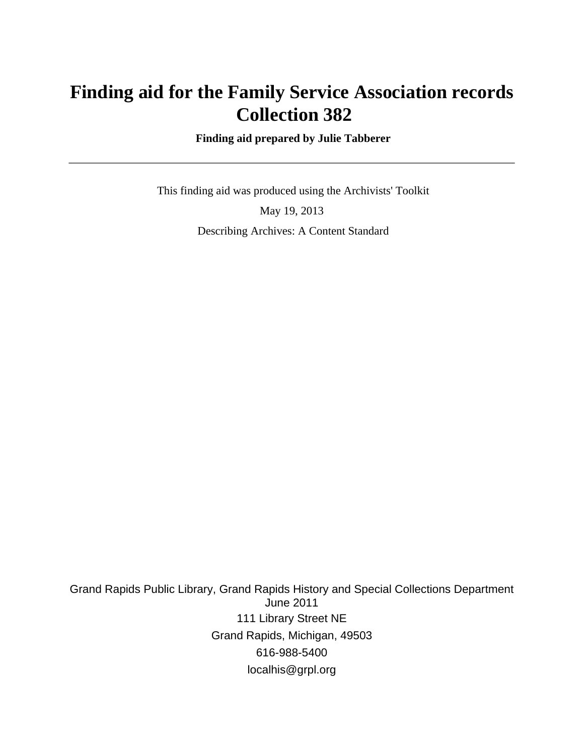# **Finding aid for the Family Service Association records Collection 382**

 **Finding aid prepared by Julie Tabberer**

 This finding aid was produced using the Archivists' Toolkit May 19, 2013 Describing Archives: A Content Standard

Grand Rapids Public Library, Grand Rapids History and Special Collections Department June 2011 111 Library Street NE Grand Rapids, Michigan, 49503 616-988-5400 localhis@grpl.org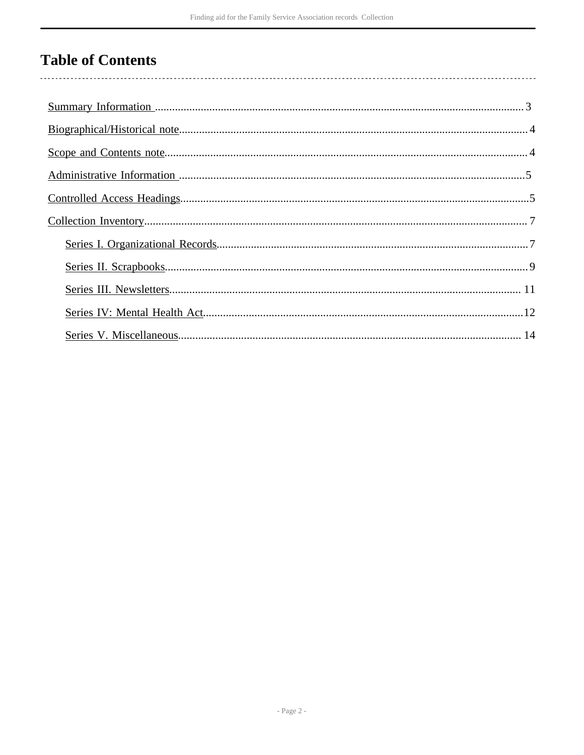# **Table of Contents**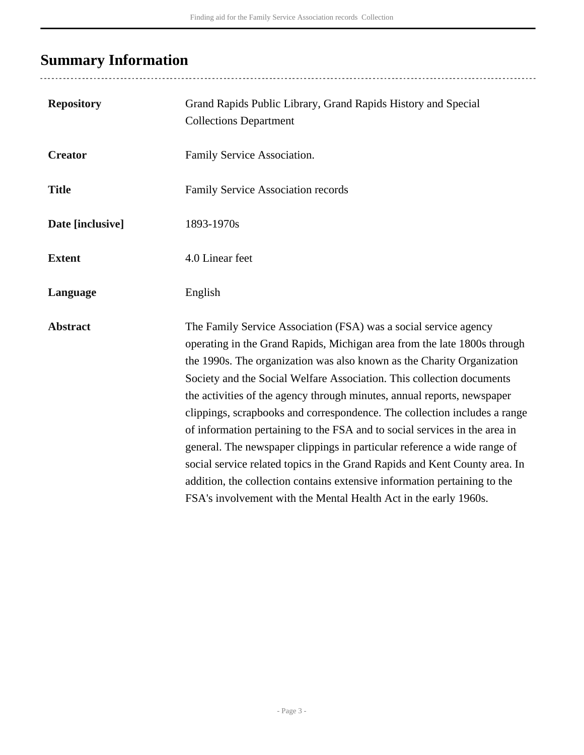# <span id="page-2-0"></span>**Summary Information**

..................................

| <b>Repository</b> | Grand Rapids Public Library, Grand Rapids History and Special<br><b>Collections Department</b>                                                                                                                                                                                                                                                                                                                                                                                                                                                                                                                                                                                                                                                                                                                                                   |
|-------------------|--------------------------------------------------------------------------------------------------------------------------------------------------------------------------------------------------------------------------------------------------------------------------------------------------------------------------------------------------------------------------------------------------------------------------------------------------------------------------------------------------------------------------------------------------------------------------------------------------------------------------------------------------------------------------------------------------------------------------------------------------------------------------------------------------------------------------------------------------|
| <b>Creator</b>    | Family Service Association.                                                                                                                                                                                                                                                                                                                                                                                                                                                                                                                                                                                                                                                                                                                                                                                                                      |
| <b>Title</b>      | Family Service Association records                                                                                                                                                                                                                                                                                                                                                                                                                                                                                                                                                                                                                                                                                                                                                                                                               |
| Date [inclusive]  | 1893-1970s                                                                                                                                                                                                                                                                                                                                                                                                                                                                                                                                                                                                                                                                                                                                                                                                                                       |
| <b>Extent</b>     | 4.0 Linear feet                                                                                                                                                                                                                                                                                                                                                                                                                                                                                                                                                                                                                                                                                                                                                                                                                                  |
| Language          | English                                                                                                                                                                                                                                                                                                                                                                                                                                                                                                                                                                                                                                                                                                                                                                                                                                          |
| <b>Abstract</b>   | The Family Service Association (FSA) was a social service agency<br>operating in the Grand Rapids, Michigan area from the late 1800s through<br>the 1990s. The organization was also known as the Charity Organization<br>Society and the Social Welfare Association. This collection documents<br>the activities of the agency through minutes, annual reports, newspaper<br>clippings, scrapbooks and correspondence. The collection includes a range<br>of information pertaining to the FSA and to social services in the area in<br>general. The newspaper clippings in particular reference a wide range of<br>social service related topics in the Grand Rapids and Kent County area. In<br>addition, the collection contains extensive information pertaining to the<br>FSA's involvement with the Mental Health Act in the early 1960s. |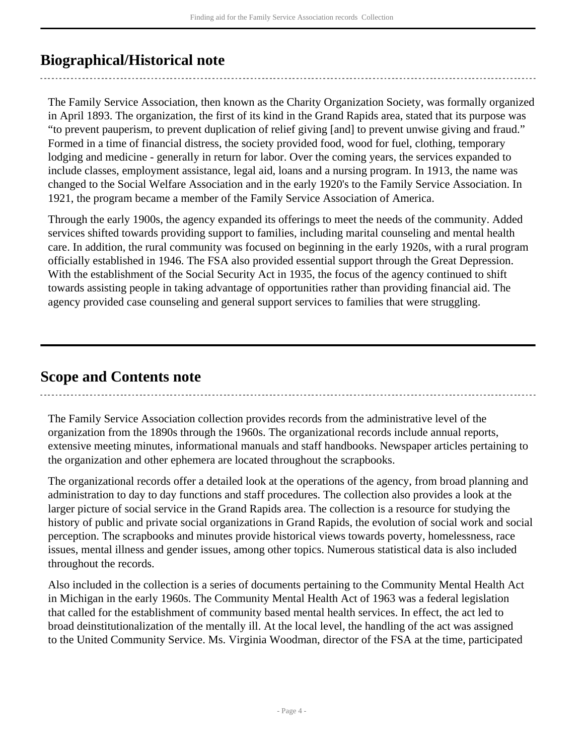# <span id="page-3-0"></span>**Biographical/Historical note**

The Family Service Association, then known as the Charity Organization Society, was formally organized in April 1893. The organization, the first of its kind in the Grand Rapids area, stated that its purpose was "to prevent pauperism, to prevent duplication of relief giving [and] to prevent unwise giving and fraud." Formed in a time of financial distress, the society provided food, wood for fuel, clothing, temporary lodging and medicine - generally in return for labor. Over the coming years, the services expanded to include classes, employment assistance, legal aid, loans and a nursing program. In 1913, the name was changed to the Social Welfare Association and in the early 1920's to the Family Service Association. In 1921, the program became a member of the Family Service Association of America.

Through the early 1900s, the agency expanded its offerings to meet the needs of the community. Added services shifted towards providing support to families, including marital counseling and mental health care. In addition, the rural community was focused on beginning in the early 1920s, with a rural program officially established in 1946. The FSA also provided essential support through the Great Depression. With the establishment of the Social Security Act in 1935, the focus of the agency continued to shift towards assisting people in taking advantage of opportunities rather than providing financial aid. The agency provided case counseling and general support services to families that were struggling.

## <span id="page-3-1"></span>**Scope and Contents note**

The Family Service Association collection provides records from the administrative level of the organization from the 1890s through the 1960s. The organizational records include annual reports, extensive meeting minutes, informational manuals and staff handbooks. Newspaper articles pertaining to the organization and other ephemera are located throughout the scrapbooks.

The organizational records offer a detailed look at the operations of the agency, from broad planning and administration to day to day functions and staff procedures. The collection also provides a look at the larger picture of social service in the Grand Rapids area. The collection is a resource for studying the history of public and private social organizations in Grand Rapids, the evolution of social work and social perception. The scrapbooks and minutes provide historical views towards poverty, homelessness, race issues, mental illness and gender issues, among other topics. Numerous statistical data is also included throughout the records.

Also included in the collection is a series of documents pertaining to the Community Mental Health Act in Michigan in the early 1960s. The Community Mental Health Act of 1963 was a federal legislation that called for the establishment of community based mental health services. In effect, the act led to broad deinstitutionalization of the mentally ill. At the local level, the handling of the act was assigned to the United Community Service. Ms. Virginia Woodman, director of the FSA at the time, participated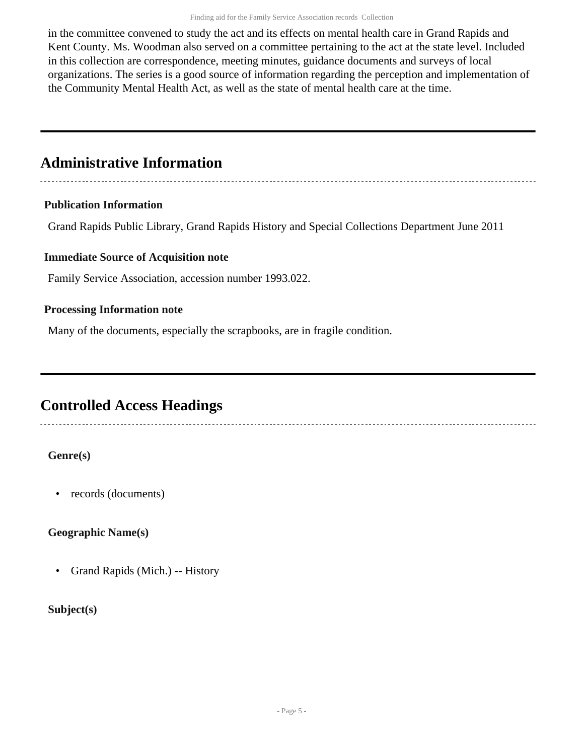in the committee convened to study the act and its effects on mental health care in Grand Rapids and Kent County. Ms. Woodman also served on a committee pertaining to the act at the state level. Included in this collection are correspondence, meeting minutes, guidance documents and surveys of local organizations. The series is a good source of information regarding the perception and implementation of the Community Mental Health Act, as well as the state of mental health care at the time.

## <span id="page-4-0"></span>**Administrative Information**

### **Publication Information**

Grand Rapids Public Library, Grand Rapids History and Special Collections Department June 2011

### **Immediate Source of Acquisition note**

Family Service Association, accession number 1993.022.

### **Processing Information note**

Many of the documents, especially the scrapbooks, are in fragile condition.

## <span id="page-4-1"></span>**Controlled Access Headings**

### **Genre(s)**

• records (documents)

### **Geographic Name(s)**

• Grand Rapids (Mich.) -- History

### **Subject(s)**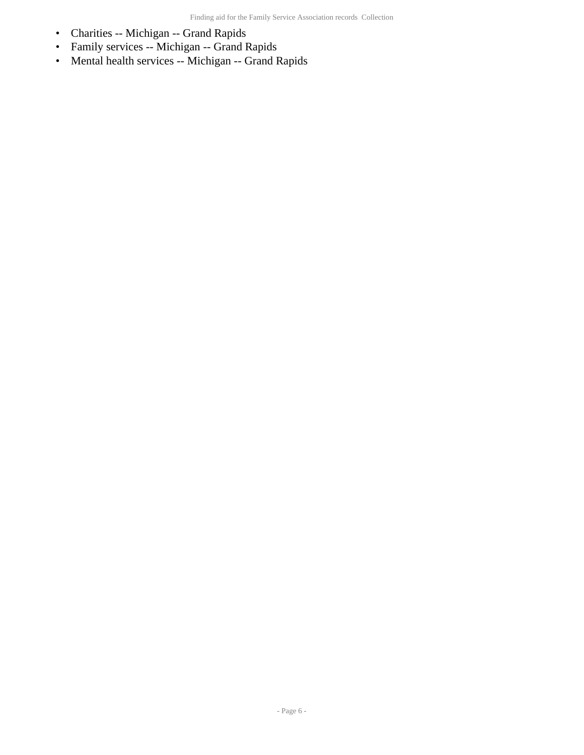- Charities -- Michigan -- Grand Rapids
- Family services -- Michigan -- Grand Rapids
- Mental health services -- Michigan -- Grand Rapids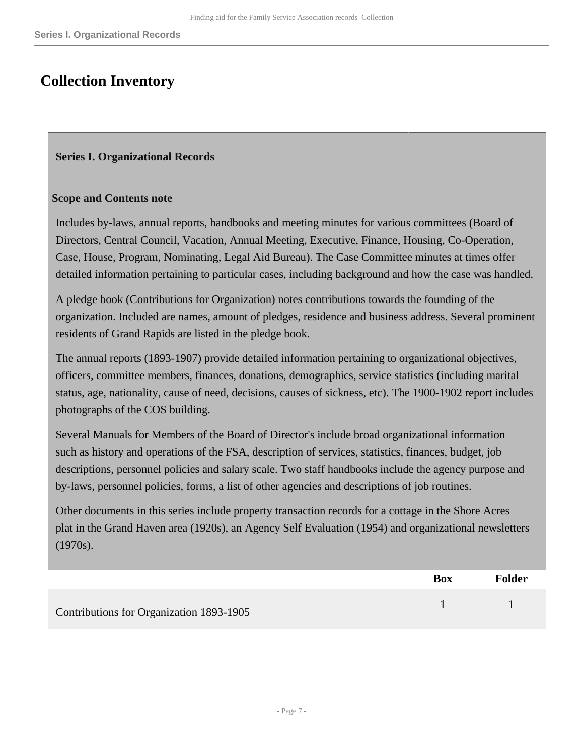## <span id="page-6-0"></span>**Collection Inventory**

### <span id="page-6-1"></span>**Series I. Organizational Records**

#### **Scope and Contents note**

Includes by-laws, annual reports, handbooks and meeting minutes for various committees (Board of Directors, Central Council, Vacation, Annual Meeting, Executive, Finance, Housing, Co-Operation, Case, House, Program, Nominating, Legal Aid Bureau). The Case Committee minutes at times offer detailed information pertaining to particular cases, including background and how the case was handled.

A pledge book (Contributions for Organization) notes contributions towards the founding of the organization. Included are names, amount of pledges, residence and business address. Several prominent residents of Grand Rapids are listed in the pledge book.

The annual reports (1893-1907) provide detailed information pertaining to organizational objectives, officers, committee members, finances, donations, demographics, service statistics (including marital status, age, nationality, cause of need, decisions, causes of sickness, etc). The 1900-1902 report includes photographs of the COS building.

Several Manuals for Members of the Board of Director's include broad organizational information such as history and operations of the FSA, description of services, statistics, finances, budget, job descriptions, personnel policies and salary scale. Two staff handbooks include the agency purpose and by-laws, personnel policies, forms, a list of other agencies and descriptions of job routines.

Other documents in this series include property transaction records for a cottage in the Shore Acres plat in the Grand Haven area (1920s), an Agency Self Evaluation (1954) and organizational newsletters (1970s).

|                                          | Box | <b>Folder</b> |
|------------------------------------------|-----|---------------|
| Contributions for Organization 1893-1905 |     |               |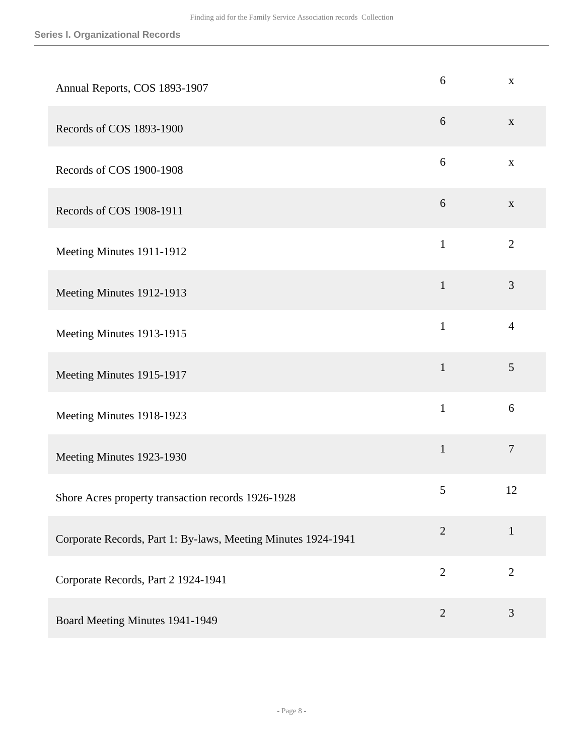| Annual Reports, COS 1893-1907                                 | 6              | $\mathbf X$      |
|---------------------------------------------------------------|----------------|------------------|
| Records of COS 1893-1900                                      | 6              | $\mathbf X$      |
| Records of COS 1900-1908                                      | $6\,$          | $\mathbf X$      |
| Records of COS 1908-1911                                      | 6              | $\mathbf X$      |
| Meeting Minutes 1911-1912                                     | $\mathbf{1}$   | $\overline{2}$   |
| Meeting Minutes 1912-1913                                     | $\mathbf{1}$   | 3                |
| Meeting Minutes 1913-1915                                     | $\mathbf{1}$   | $\overline{4}$   |
| Meeting Minutes 1915-1917                                     | $\mathbf{1}$   | 5                |
| Meeting Minutes 1918-1923                                     | $\mathbf{1}$   | 6                |
| Meeting Minutes 1923-1930                                     | $\mathbf{1}$   | $\boldsymbol{7}$ |
| Shore Acres property transaction records 1926-1928            | 5              | 12               |
| Corporate Records, Part 1: By-laws, Meeting Minutes 1924-1941 | $\mathbf{2}$   | $\mathbf{1}$     |
| Corporate Records, Part 2 1924-1941                           | $\overline{2}$ | $\overline{2}$   |
| Board Meeting Minutes 1941-1949                               | $\overline{2}$ | 3                |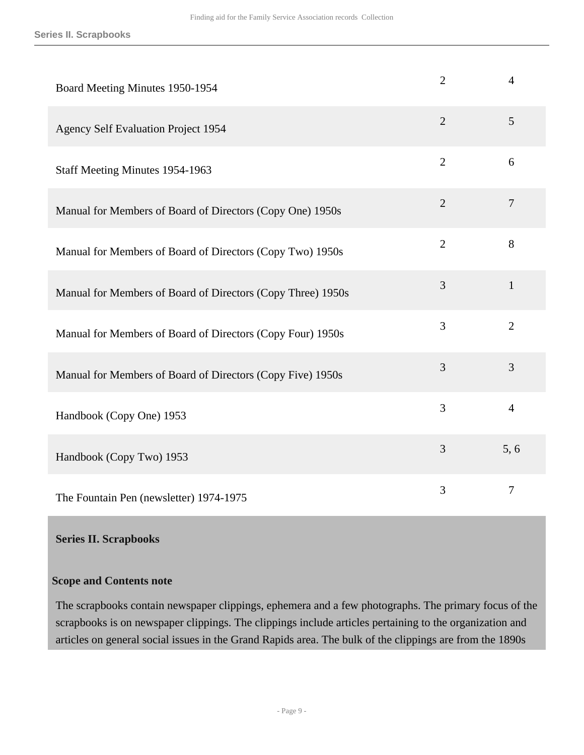| Board Meeting Minutes 1950-1954                             | $\overline{2}$ | $\overline{4}$ |
|-------------------------------------------------------------|----------------|----------------|
| <b>Agency Self Evaluation Project 1954</b>                  | $\overline{2}$ | 5              |
| Staff Meeting Minutes 1954-1963                             | $\overline{2}$ | 6              |
| Manual for Members of Board of Directors (Copy One) 1950s   | $\overline{2}$ | $\overline{7}$ |
| Manual for Members of Board of Directors (Copy Two) 1950s   | $\overline{2}$ | 8              |
| Manual for Members of Board of Directors (Copy Three) 1950s | 3              | $\mathbf{1}$   |
| Manual for Members of Board of Directors (Copy Four) 1950s  | 3              | $\overline{2}$ |
| Manual for Members of Board of Directors (Copy Five) 1950s  | 3              | 3              |
| Handbook (Copy One) 1953                                    | 3              | $\overline{4}$ |
| Handbook (Copy Two) 1953                                    | 3              | 5, 6           |
| The Fountain Pen (newsletter) 1974-1975                     | 3              | $\overline{7}$ |

#### <span id="page-8-0"></span>**Series II. Scrapbooks**

### **Scope and Contents note**

The scrapbooks contain newspaper clippings, ephemera and a few photographs. The primary focus of the scrapbooks is on newspaper clippings. The clippings include articles pertaining to the organization and articles on general social issues in the Grand Rapids area. The bulk of the clippings are from the 1890s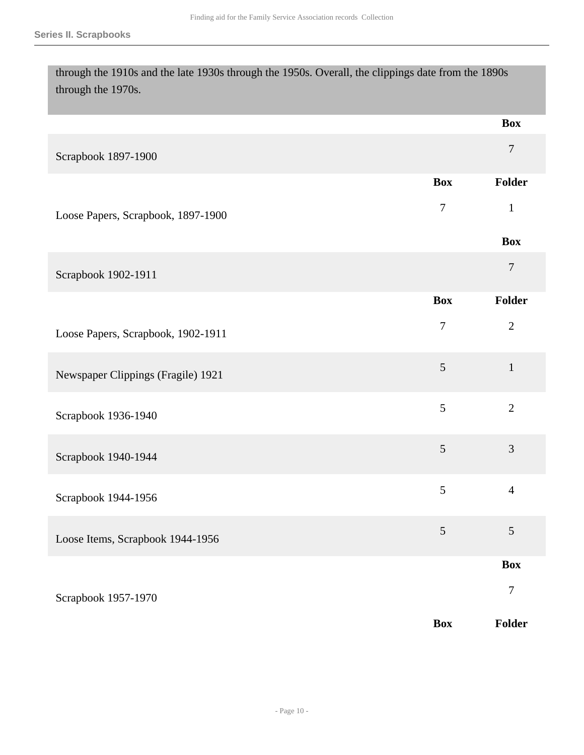through the 1910s and the late 1930s through the 1950s. Overall, the clippings date from the 1890s through the 1970s.

|                                    |                | <b>Box</b>       |
|------------------------------------|----------------|------------------|
| Scrapbook 1897-1900                |                | $\boldsymbol{7}$ |
|                                    | <b>Box</b>     | Folder           |
| Loose Papers, Scrapbook, 1897-1900 | $\tau$         | $\mathbf{1}$     |
|                                    |                | <b>Box</b>       |
| Scrapbook 1902-1911                |                | $\overline{7}$   |
|                                    | <b>Box</b>     | Folder           |
| Loose Papers, Scrapbook, 1902-1911 | $\overline{7}$ | $\sqrt{2}$       |
| Newspaper Clippings (Fragile) 1921 | 5              | $\mathbf{1}$     |
| Scrapbook 1936-1940                | 5              | $\mathbf{2}$     |
| Scrapbook 1940-1944                | 5              | 3                |
| Scrapbook 1944-1956                | 5              | $\overline{4}$   |
| Loose Items, Scrapbook 1944-1956   | $\sqrt{5}$     | $\mathfrak{S}$   |
|                                    |                | <b>Box</b>       |
| Scrapbook 1957-1970                |                | $\boldsymbol{7}$ |
|                                    | <b>Box</b>     | Folder           |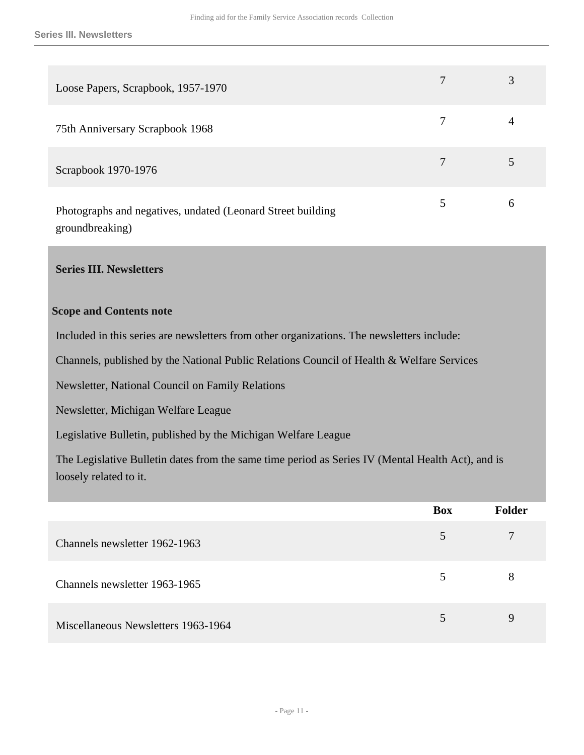| Loose Papers, Scrapbook, 1957-1970                          | 7 |   |
|-------------------------------------------------------------|---|---|
| 75th Anniversary Scrapbook 1968                             |   | 4 |
| Scrapbook 1970-1976                                         |   |   |
| Photographs and negatives, undated (Leonard Street building |   | 6 |

groundbreaking)

### <span id="page-10-0"></span>**Series III. Newsletters**

#### **Scope and Contents note**

Included in this series are newsletters from other organizations. The newsletters include:

Channels, published by the National Public Relations Council of Health & Welfare Services

Newsletter, National Council on Family Relations

Newsletter, Michigan Welfare League

Legislative Bulletin, published by the Michigan Welfare League

The Legislative Bulletin dates from the same time period as Series IV (Mental Health Act), and is loosely related to it.

|                                     | <b>Box</b> | Folder |
|-------------------------------------|------------|--------|
| Channels newsletter 1962-1963       | 5          | 7      |
| Channels newsletter 1963-1965       | 5          | 8      |
| Miscellaneous Newsletters 1963-1964 |            | 9      |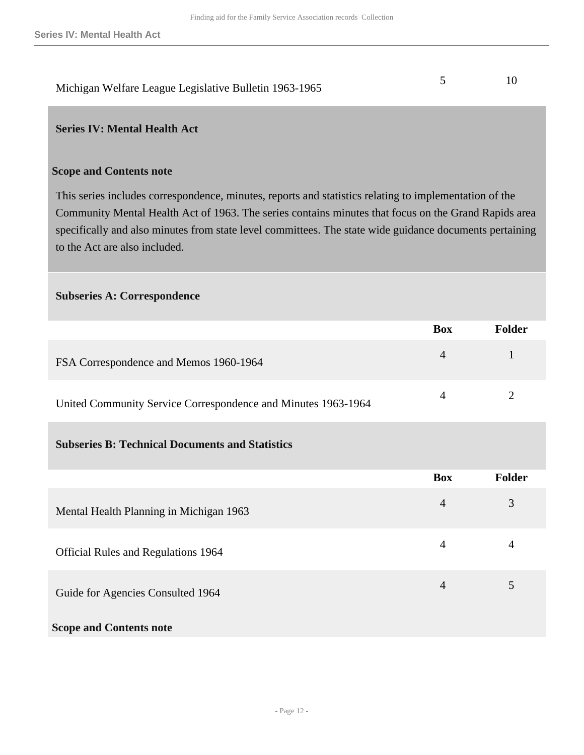# Michigan Welfare League Legislative Bulletin 1963-1965 5 10

### <span id="page-11-0"></span>**Series IV: Mental Health Act**

#### **Scope and Contents note**

This series includes correspondence, minutes, reports and statistics relating to implementation of the Community Mental Health Act of 1963. The series contains minutes that focus on the Grand Rapids area specifically and also minutes from state level committees. The state wide guidance documents pertaining to the Act are also included.

#### **Subseries A: Correspondence**

|                                                               | <b>Box</b>     | Folder |
|---------------------------------------------------------------|----------------|--------|
| FSA Correspondence and Memos 1960-1964                        | $\overline{4}$ |        |
| United Community Service Correspondence and Minutes 1963-1964 |                |        |

### **Subseries B: Technical Documents and Statistics**

|                                         | <b>Box</b>     | <b>Folder</b>  |
|-----------------------------------------|----------------|----------------|
| Mental Health Planning in Michigan 1963 | $\overline{4}$ | 3              |
| Official Rules and Regulations 1964     | 4              | $\overline{4}$ |
| Guide for Agencies Consulted 1964       | 4              | 5              |
| <b>Scope and Contents note</b>          |                |                |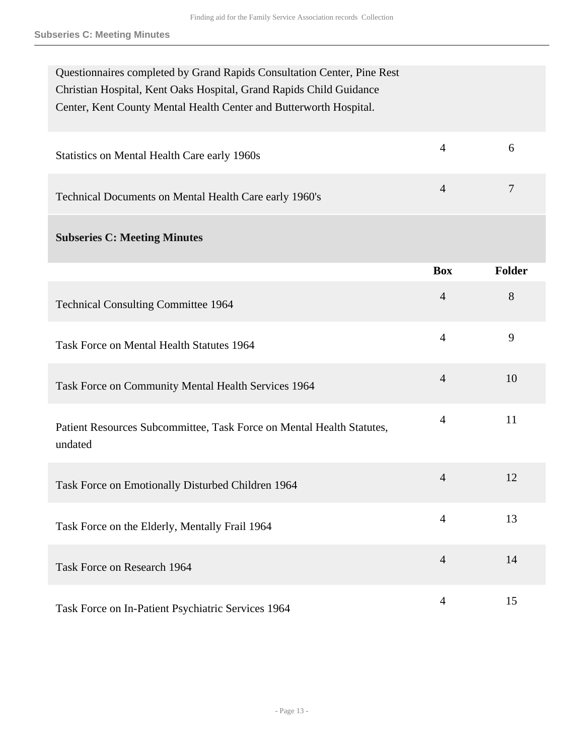| Questionnaires completed by Grand Rapids Consultation Center, Pine Rest<br>Christian Hospital, Kent Oaks Hospital, Grand Rapids Child Guidance<br>Center, Kent County Mental Health Center and Butterworth Hospital. |                |                |
|----------------------------------------------------------------------------------------------------------------------------------------------------------------------------------------------------------------------|----------------|----------------|
| Statistics on Mental Health Care early 1960s                                                                                                                                                                         | $\overline{4}$ | 6              |
| Technical Documents on Mental Health Care early 1960's                                                                                                                                                               | $\overline{4}$ | $\overline{7}$ |
| <b>Subseries C: Meeting Minutes</b>                                                                                                                                                                                  |                |                |
|                                                                                                                                                                                                                      | <b>Box</b>     | <b>Folder</b>  |
| <b>Technical Consulting Committee 1964</b>                                                                                                                                                                           | $\overline{4}$ | 8              |
| Task Force on Mental Health Statutes 1964                                                                                                                                                                            | $\overline{4}$ | 9              |
| Task Force on Community Mental Health Services 1964                                                                                                                                                                  | $\overline{4}$ | 10             |
| Patient Resources Subcommittee, Task Force on Mental Health Statutes,<br>undated                                                                                                                                     | $\overline{4}$ | 11             |
| Task Force on Emotionally Disturbed Children 1964                                                                                                                                                                    | 4              | 12             |
| Task Force on the Elderly, Mentally Frail 1964                                                                                                                                                                       | $\overline{4}$ | 13             |
| Task Force on Research 1964                                                                                                                                                                                          | $\overline{4}$ | 14             |
| Task Force on In-Patient Psychiatric Services 1964                                                                                                                                                                   | $\overline{4}$ | 15             |